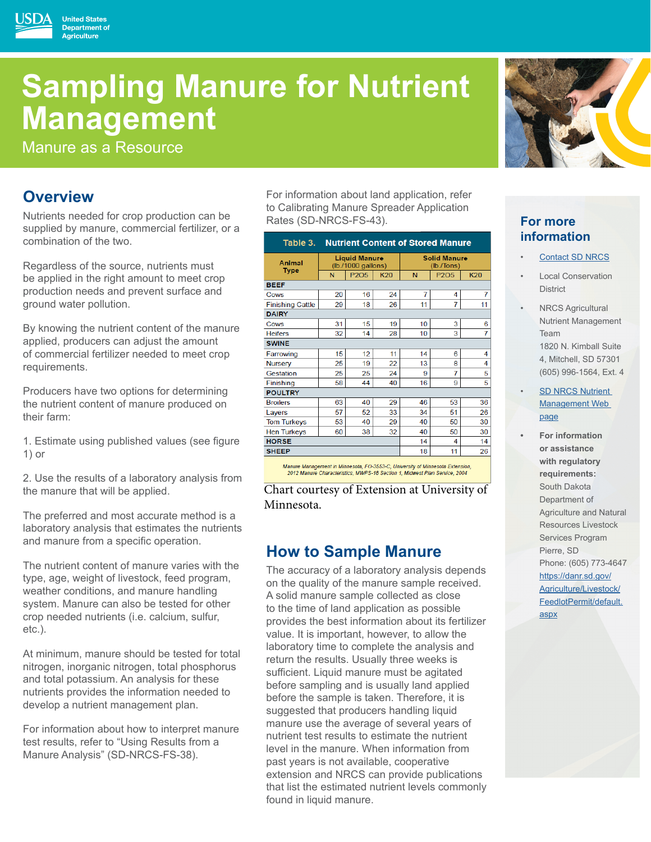# **Sampling Manure for Nutrient Management**

Manure as a Resource

**United States Department of** . .<br>Agriculture

## **Overview**

Nutrients needed for crop production can be supplied by manure, commercial fertilizer, or a combination of the two.

Regardless of the source, nutrients must be applied in the right amount to meet crop production needs and prevent surface and ground water pollution.

By knowing the nutrient content of the manure applied, producers can adjust the amount of commercial fertilizer needed to meet crop requirements.

Producers have two options for determining the nutrient content of manure produced on their farm:

1. Estimate using published values (see figure 1) or

2. Use the results of a laboratory analysis from the manure that will be applied.

The preferred and most accurate method is a laboratory analysis that estimates the nutrients and manure from a specific operation.

The nutrient content of manure varies with the type, age, weight of livestock, feed program, weather conditions, and manure handling system. Manure can also be tested for other crop needed nutrients (i.e. calcium, sulfur, etc.).

At minimum, manure should be tested for total nitrogen, inorganic nitrogen, total phosphorus and total potassium. An analysis for these nutrients provides the information needed to develop a nutrient management plan.

For information about how to interpret manure test results, refer to "Using Results from a Manure Analysis" (SD-NRCS-FS-38).

For information about land application, refer to Calibrating Manure Spreader Application Rates (SD-NRCS-FS-43).

| Table 3.                | <b>Nutrient Content of Stored Manure</b>     |                               |            |                                   |                               |                |
|-------------------------|----------------------------------------------|-------------------------------|------------|-----------------------------------|-------------------------------|----------------|
| Animal<br><b>Type</b>   | <b>Liquid Manure</b><br>$(lb./1000$ gallons) |                               |            | <b>Solid Manure</b><br>(lb./Tons) |                               |                |
|                         | N                                            | P <sub>2</sub> O <sub>5</sub> | <b>K20</b> | N                                 | P <sub>2</sub> O <sub>5</sub> | K20            |
| <b>BEEF</b>             |                                              |                               |            |                                   |                               |                |
| Cows                    | 20                                           | 16                            | 24         | 7                                 | 4                             | 7              |
| <b>Finishing Cattle</b> | 29                                           | 18                            | 26         | 11                                | 7                             | 11             |
| <b>DAIRY</b>            |                                              |                               |            |                                   |                               |                |
| Cows                    | 31                                           | 15                            | 19         | 10                                | 3                             | 6              |
| <b>Heifers</b>          | 32                                           | 14                            | 28         | 10                                | 3                             | $\overline{7}$ |
| <b>SWINE</b>            |                                              |                               |            |                                   |                               |                |
| Farrowing               | 15                                           | 12                            | 11         | 14                                | 6                             | 4              |
| <b>Nursery</b>          | 25                                           | 19                            | 22         | 13                                | 8                             | 4              |
| Gestation               | 25                                           | 25                            | 24         | 9                                 | 7                             | 5              |
| Finishing               | 58                                           | 44                            | 40         | 16                                | 9                             | 5              |
| <b>POULTRY</b>          |                                              |                               |            |                                   |                               |                |
| <b>Broilers</b>         | 63                                           | 40                            | 29         | 46                                | 53                            | 36             |
| Layers                  | 57                                           | 52                            | 33         | 34                                | 51                            | 26             |
| <b>Tom Turkeys</b>      | 53                                           | 40                            | 29         | 40                                | 50                            | 30             |
| <b>Hen Turkeys</b>      | 60                                           | 38                            | 32         | 40                                | 50                            | 30             |
| <b>HORSE</b>            |                                              |                               |            | 14                                | 4                             | 14             |
| <b>SHEEP</b>            |                                              |                               |            | 18                                | 11                            | 26             |

Manure Management in Minnesota, FO-3553-C, University of Minnesota Extension,<br>2012 Manure Characteristics, MWPS-18 Section 1, Midwest Plan Service, 2004

Chart courtesy of Extension at University of Minnesota.

# **How to Sample Manure**

The accuracy of a laboratory analysis depends on the quality of the manure sample received. A solid manure sample collected as close to the time of land application as possible provides the best information about its fertilizer value. It is important, however, to allow the laboratory time to complete the analysis and return the results. Usually three weeks is sufficient. Liquid manure must be agitated before sampling and is usually land applied before the sample is taken. Therefore, it is suggested that producers handling liquid manure use the average of several years of nutrient test results to estimate the nutrient level in the manure. When information from past years is not available, cooperative extension and NRCS can provide publications that list the estimated nutrient levels commonly found in liquid manure.



#### **For more information**

- [Contact SD NRCS](http://bit.ly/contactnrcssd)
- **Local Conservation [District](http://Local Conservation District)**
- **NRCS Agricultural** Nutrient Management Team 1820 N. Kimball Suite 4, Mitchell, SD 57301
	- (605) 996-1564, Ext. [4](https://www.nrcs.usda.gov/wps/portal/nrcs/detailfull/sd/technical/ecoscience/nutrient/?cid=nrcs141p2_036566)
- **SD NRCS Nutrient** [Management Web](https://www.nrcs.usda.gov/wps/portal/nrcs/detailfull/sd/technical/ecoscience/nutrient/?cid=nrcs141p2_036566)  [page](https://www.nrcs.usda.gov/wps/portal/nrcs/detailfull/sd/technical/ecoscience/nutrient/?cid=nrcs141p2_036566)
- **• For information or assistance with regulatory requirements:**  [South Dakota](http://South Dakota Department of Agriculture and Natural Resources Livestock Services Program  523 E. Capi)  [Department of](http://South Dakota Department of Agriculture and Natural Resources Livestock Services Program  523 E. Capi)  [Agriculture and Natural](http://South Dakota Department of Agriculture and Natural Resources Livestock Services Program  523 E. Capi)  [Resources Livestock](http://South Dakota Department of Agriculture and Natural Resources Livestock Services Program  523 E. Capi)  [Services Program](http://South Dakota Department of Agriculture and Natural Resources Livestock Services Program  523 E. Capi)  [Pierre, SD](http://South Dakota Department of Agriculture and Natural Resources Livestock Services Program  523 E. Capi) [Phone: \(605\) 773-4647](http://South Dakota Department of Agriculture and Natural Resources Livestock Services Program  523 E. Capi) [https://danr.sd.gov/](https://danr.sd.gov/Agriculture/Livestock/FeedlotPermit/default.aspx) [Agriculture/Livestock/](https://danr.sd.gov/Agriculture/Livestock/FeedlotPermit/default.aspx) [FeedlotPermit/default.](https://danr.sd.gov/Agriculture/Livestock/FeedlotPermit/default.aspx) [aspx](https://danr.sd.gov/Agriculture/Livestock/FeedlotPermit/default.aspx)